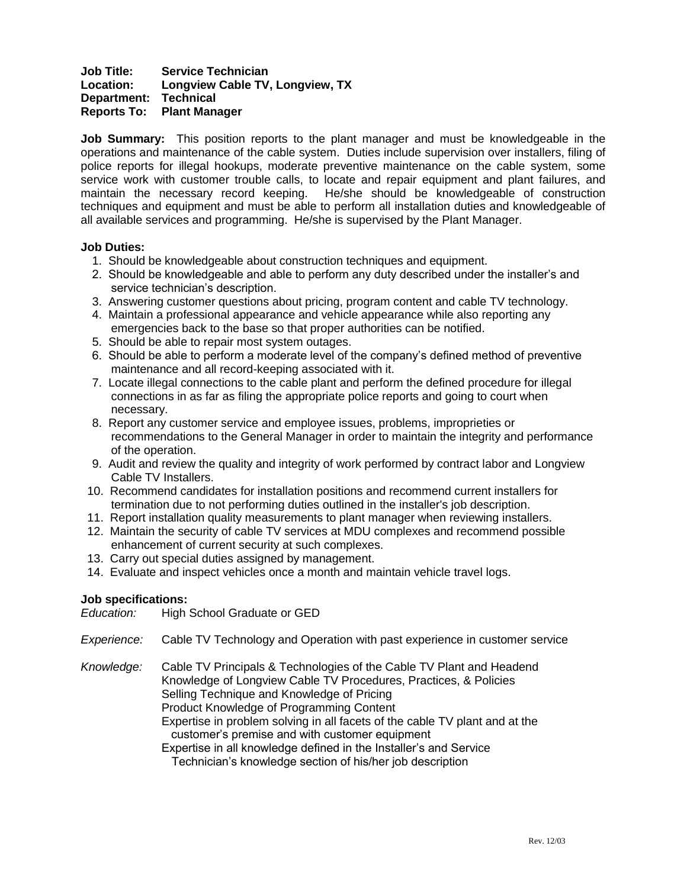# **Job Title: Service Technician Location: Longview Cable TV, Longview, TX Department: Technical Reports To: Plant Manager**

**Job Summary:** This position reports to the plant manager and must be knowledgeable in the operations and maintenance of the cable system. Duties include supervision over installers, filing of police reports for illegal hookups, moderate preventive maintenance on the cable system, some service work with customer trouble calls, to locate and repair equipment and plant failures, and maintain the necessary record keeping. He/she should be knowledgeable of construction techniques and equipment and must be able to perform all installation duties and knowledgeable of all available services and programming. He/she is supervised by the Plant Manager.

# **Job Duties:**

- 1. Should be knowledgeable about construction techniques and equipment.
- 2. Should be knowledgeable and able to perform any duty described under the installer's and service technician's description.
- 3. Answering customer questions about pricing, program content and cable TV technology.
- 4. Maintain a professional appearance and vehicle appearance while also reporting any emergencies back to the base so that proper authorities can be notified.
- 5. Should be able to repair most system outages.
- 6. Should be able to perform a moderate level of the company's defined method of preventive maintenance and all record-keeping associated with it.
- 7. Locate illegal connections to the cable plant and perform the defined procedure for illegal connections in as far as filing the appropriate police reports and going to court when necessary.
- 8. Report any customer service and employee issues, problems, improprieties or recommendations to the General Manager in order to maintain the integrity and performance of the operation.
- 9. Audit and review the quality and integrity of work performed by contract labor and Longview Cable TV Installers.
- 10. Recommend candidates for installation positions and recommend current installers for termination due to not performing duties outlined in the installer's job description.
- 11. Report installation quality measurements to plant manager when reviewing installers.
- 12. Maintain the security of cable TV services at MDU complexes and recommend possible enhancement of current security at such complexes.
- 13. Carry out special duties assigned by management.
- 14. Evaluate and inspect vehicles once a month and maintain vehicle travel logs.

# **Job specifications:**

*Education:* High School Graduate or GED

- *Experience:* Cable TV Technology and Operation with past experience in customer service
- *Knowledge:* Cable TV Principals & Technologies of the Cable TV Plant and Headend Knowledge of Longview Cable TV Procedures, Practices, & Policies Selling Technique and Knowledge of Pricing Product Knowledge of Programming Content Expertise in problem solving in all facets of the cable TV plant and at the
	- customer's premise and with customer equipment

Expertise in all knowledge defined in the Installer's and Service Technician's knowledge section of his/her job description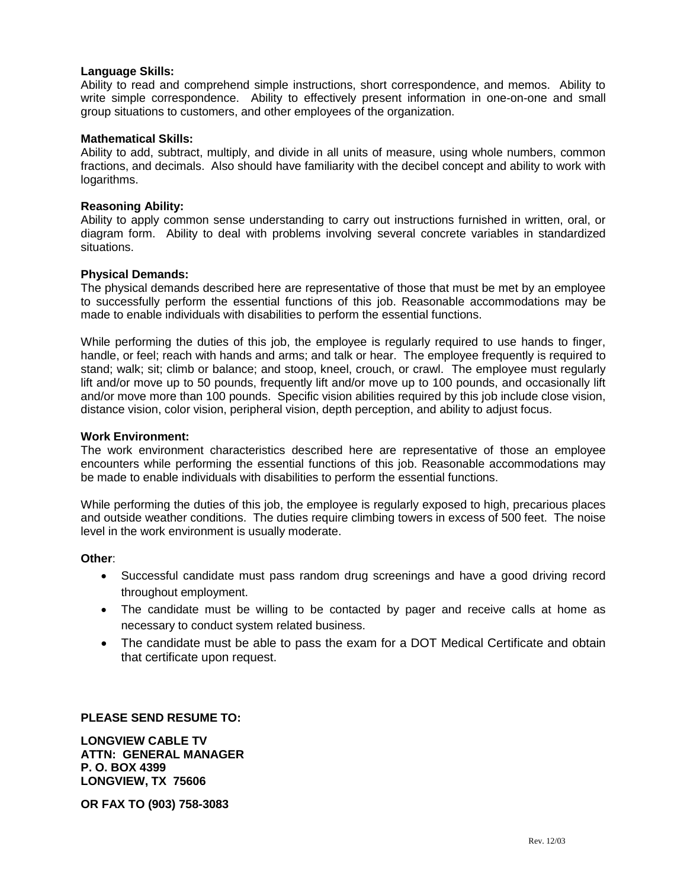## **Language Skills:**

Ability to read and comprehend simple instructions, short correspondence, and memos. Ability to write simple correspondence. Ability to effectively present information in one-on-one and small group situations to customers, and other employees of the organization.

## **Mathematical Skills:**

Ability to add, subtract, multiply, and divide in all units of measure, using whole numbers, common fractions, and decimals. Also should have familiarity with the decibel concept and ability to work with logarithms.

#### **Reasoning Ability:**

Ability to apply common sense understanding to carry out instructions furnished in written, oral, or diagram form. Ability to deal with problems involving several concrete variables in standardized situations.

#### **Physical Demands:**

The physical demands described here are representative of those that must be met by an employee to successfully perform the essential functions of this job. Reasonable accommodations may be made to enable individuals with disabilities to perform the essential functions.

While performing the duties of this job, the employee is regularly required to use hands to finger, handle, or feel; reach with hands and arms; and talk or hear. The employee frequently is required to stand; walk; sit; climb or balance; and stoop, kneel, crouch, or crawl. The employee must regularly lift and/or move up to 50 pounds, frequently lift and/or move up to 100 pounds, and occasionally lift and/or move more than 100 pounds. Specific vision abilities required by this job include close vision, distance vision, color vision, peripheral vision, depth perception, and ability to adjust focus.

#### **Work Environment:**

The work environment characteristics described here are representative of those an employee encounters while performing the essential functions of this job. Reasonable accommodations may be made to enable individuals with disabilities to perform the essential functions.

While performing the duties of this job, the employee is regularly exposed to high, precarious places and outside weather conditions. The duties require climbing towers in excess of 500 feet. The noise level in the work environment is usually moderate.

#### **Other**:

- Successful candidate must pass random drug screenings and have a good driving record throughout employment.
- The candidate must be willing to be contacted by pager and receive calls at home as necessary to conduct system related business.
- The candidate must be able to pass the exam for a DOT Medical Certificate and obtain that certificate upon request.

# **PLEASE SEND RESUME TO:**

**LONGVIEW CABLE TV ATTN: GENERAL MANAGER P. O. BOX 4399 LONGVIEW, TX 75606**

**OR FAX TO (903) 758-3083**